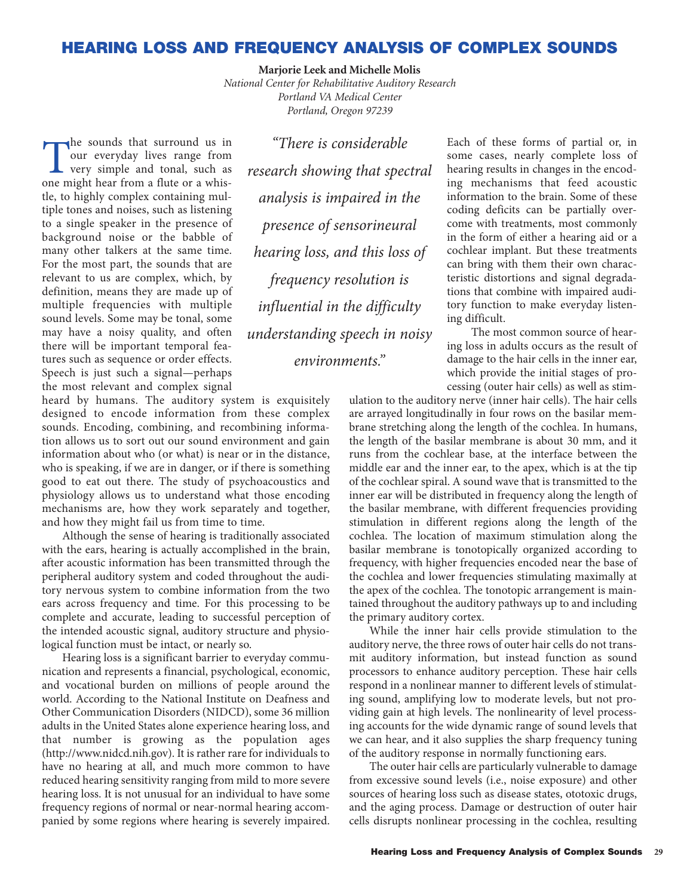## **HEARING LOSS AND FREQUENCY ANALYSIS OF COMPLEX SOUNDS**

**Marjorie Leek and Michelle Molis**

*National Center for Rehabilitative Auditory Research Portland VA Medical Center Portland, Oregon 97239*

The sounds that surround us in<br>our everyday lives range from<br>very simple and tonal, such as<br>one might hear from a flute or a whisour everyday lives range from **L** very simple and tonal, such as one might hear from a flute or a whistle, to highly complex containing multiple tones and noises, such as listening to a single speaker in the presence of background noise or the babble of many other talkers at the same time. For the most part, the sounds that are relevant to us are complex, which, by definition, means they are made up of multiple frequencies with multiple sound levels. Some may be tonal, some may have a noisy quality, and often there will be important temporal features such as sequence or order effects. Speech is just such a signal—perhaps the most relevant and complex signal

*"There is considerable research showing that spectral analysis is impaired in the presence of sensorineural hearing loss, and this loss of frequency resolution is influential in the difficulty understanding speech in noisy environments."*

heard by humans. The auditory system is exquisitely designed to encode information from these complex sounds. Encoding, combining, and recombining information allows us to sort out our sound environment and gain information about who (or what) is near or in the distance, who is speaking, if we are in danger, or if there is something good to eat out there. The study of psychoacoustics and physiology allows us to understand what those encoding mechanisms are, how they work separately and together, and how they might fail us from time to time.

Although the sense of hearing is traditionally associated with the ears, hearing is actually accomplished in the brain, after acoustic information has been transmitted through the peripheral auditory system and coded throughout the auditory nervous system to combine information from the two ears across frequency and time. For this processing to be complete and accurate, leading to successful perception of the intended acoustic signal, auditory structure and physiological function must be intact, or nearly so.

Hearing loss is a significant barrier to everyday communication and represents a financial, psychological, economic, and vocational burden on millions of people around the world. According to the National Institute on Deafness and Other Communication Disorders (NIDCD), some 36 million adults in the United States alone experience hearing loss, and that number is growing as the population ages (http://www.nidcd.nih.gov). It is rather rare for individuals to have no hearing at all, and much more common to have reduced hearing sensitivity ranging from mild to more severe hearing loss. It is not unusual for an individual to have some frequency regions of normal or near-normal hearing accompanied by some regions where hearing is severely impaired.

Each of these forms of partial or, in some cases, nearly complete loss of hearing results in changes in the encoding mechanisms that feed acoustic information to the brain. Some of these coding deficits can be partially overcome with treatments, most commonly in the form of either a hearing aid or a cochlear implant. But these treatments can bring with them their own characteristic distortions and signal degradations that combine with impaired auditory function to make everyday listening difficult.

The most common source of hearing loss in adults occurs as the result of damage to the hair cells in the inner ear, which provide the initial stages of processing (outer hair cells) as well as stim-

ulation to the auditory nerve (inner hair cells). The hair cells are arrayed longitudinally in four rows on the basilar membrane stretching along the length of the cochlea. In humans, the length of the basilar membrane is about 30 mm, and it runs from the cochlear base, at the interface between the middle ear and the inner ear, to the apex, which is at the tip of the cochlear spiral. A sound wave that is transmitted to the inner ear will be distributed in frequency along the length of the basilar membrane, with different frequencies providing stimulation in different regions along the length of the cochlea. The location of maximum stimulation along the basilar membrane is tonotopically organized according to frequency, with higher frequencies encoded near the base of the cochlea and lower frequencies stimulating maximally at the apex of the cochlea. The tonotopic arrangement is maintained throughout the auditory pathways up to and including the primary auditory cortex.

While the inner hair cells provide stimulation to the auditory nerve, the three rows of outer hair cells do not transmit auditory information, but instead function as sound processors to enhance auditory perception. These hair cells respond in a nonlinear manner to different levels of stimulating sound, amplifying low to moderate levels, but not providing gain at high levels. The nonlinearity of level processing accounts for the wide dynamic range of sound levels that we can hear, and it also supplies the sharp frequency tuning of the auditory response in normally functioning ears.

The outer hair cells are particularly vulnerable to damage from excessive sound levels (i.e., noise exposure) and other sources of hearing loss such as disease states, ototoxic drugs, and the aging process. Damage or destruction of outer hair cells disrupts nonlinear processing in the cochlea, resulting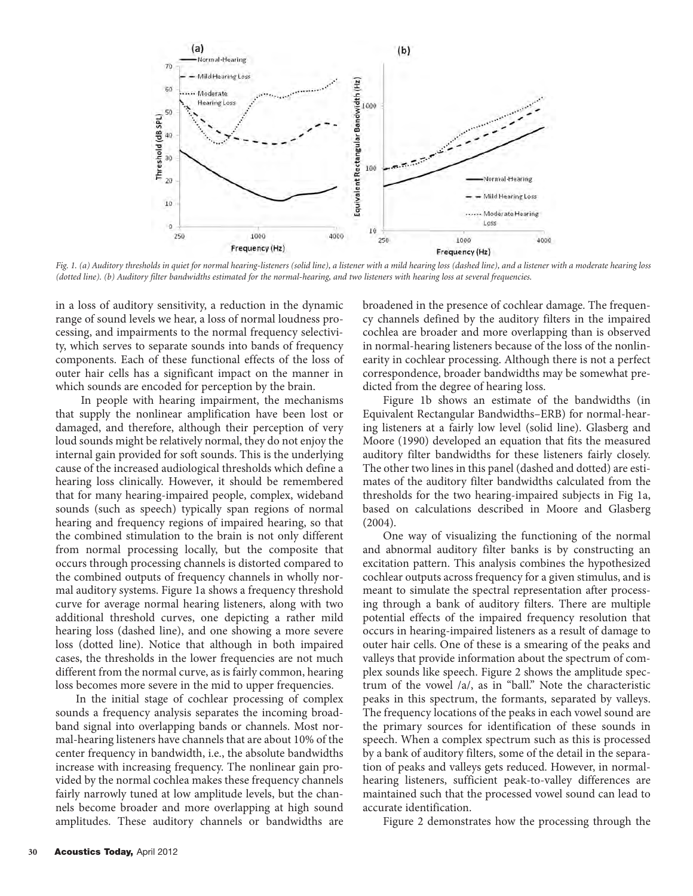

*Fig. 1. (a) Auditory thresholds in quiet for normal hearing-listeners (solid line), a listener with a mild hearing loss (dashed line), and a listener with a moderate hearing loss (dotted line). (b) Auditory filter bandwidths estimated for the normal-hearing, and two listeners with hearing loss at several frequencies.*

in a loss of auditory sensitivity, a reduction in the dynamic range of sound levels we hear, a loss of normal loudness processing, and impairments to the normal frequency selectivity, which serves to separate sounds into bands of frequency components. Each of these functional effects of the loss of outer hair cells has a significant impact on the manner in which sounds are encoded for perception by the brain.

In people with hearing impairment, the mechanisms that supply the nonlinear amplification have been lost or damaged, and therefore, although their perception of very loud sounds might be relatively normal, they do not enjoy the internal gain provided for soft sounds. This is the underlying cause of the increased audiological thresholds which define a hearing loss clinically. However, it should be remembered that for many hearing-impaired people, complex, wideband sounds (such as speech) typically span regions of normal hearing and frequency regions of impaired hearing, so that the combined stimulation to the brain is not only different from normal processing locally, but the composite that occurs through processing channels is distorted compared to the combined outputs of frequency channels in wholly normal auditory systems. Figure 1a shows a frequency threshold curve for average normal hearing listeners, along with two additional threshold curves, one depicting a rather mild hearing loss (dashed line), and one showing a more severe loss (dotted line). Notice that although in both impaired cases, the thresholds in the lower frequencies are not much different from the normal curve, as is fairly common, hearing loss becomes more severe in the mid to upper frequencies.

In the initial stage of cochlear processing of complex sounds a frequency analysis separates the incoming broadband signal into overlapping bands or channels. Most normal-hearing listeners have channels that are about 10% of the center frequency in bandwidth, i.e., the absolute bandwidths increase with increasing frequency. The nonlinear gain provided by the normal cochlea makes these frequency channels fairly narrowly tuned at low amplitude levels, but the channels become broader and more overlapping at high sound amplitudes. These auditory channels or bandwidths are

broadened in the presence of cochlear damage. The frequency channels defined by the auditory filters in the impaired cochlea are broader and more overlapping than is observed in normal-hearing listeners because of the loss of the nonlinearity in cochlear processing. Although there is not a perfect correspondence, broader bandwidths may be somewhat predicted from the degree of hearing loss.

Figure 1b shows an estimate of the bandwidths (in Equivalent Rectangular Bandwidths–ERB) for normal-hearing listeners at a fairly low level (solid line). Glasberg and Moore (1990) developed an equation that fits the measured auditory filter bandwidths for these listeners fairly closely. The other two lines in this panel (dashed and dotted) are estimates of the auditory filter bandwidths calculated from the thresholds for the two hearing-impaired subjects in Fig 1a, based on calculations described in Moore and Glasberg (2004).

One way of visualizing the functioning of the normal and abnormal auditory filter banks is by constructing an excitation pattern. This analysis combines the hypothesized cochlear outputs across frequency for a given stimulus, and is meant to simulate the spectral representation after processing through a bank of auditory filters. There are multiple potential effects of the impaired frequency resolution that occurs in hearing-impaired listeners as a result of damage to outer hair cells. One of these is a smearing of the peaks and valleys that provide information about the spectrum of complex sounds like speech. Figure 2 shows the amplitude spectrum of the vowel /a/, as in "ball." Note the characteristic peaks in this spectrum, the formants, separated by valleys. The frequency locations of the peaks in each vowel sound are the primary sources for identification of these sounds in speech. When a complex spectrum such as this is processed by a bank of auditory filters, some of the detail in the separation of peaks and valleys gets reduced. However, in normalhearing listeners, sufficient peak-to-valley differences are maintained such that the processed vowel sound can lead to accurate identification.

Figure 2 demonstrates how the processing through the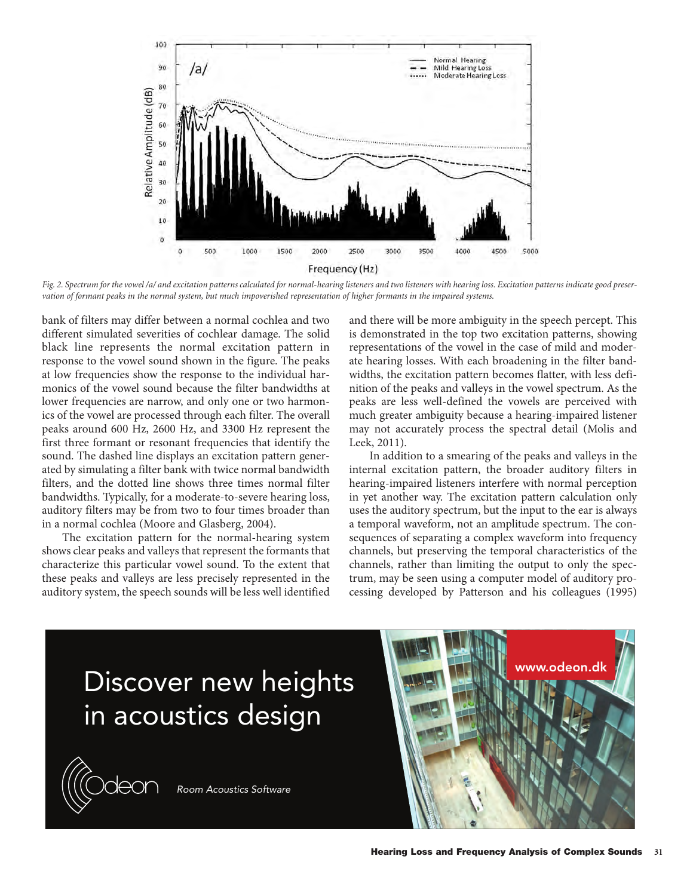

*Fig. 2. Spectrum for the vowel /a/ and excitation patterns calculated for normal-hearing listeners and two listeners with hearing loss. Excitation patterns indicate good preservation of formant peaks in the normal system, but much impoverished representation of higher formants in the impaired systems.*

bank of filters may differ between a normal cochlea and two different simulated severities of cochlear damage. The solid black line represents the normal excitation pattern in response to the vowel sound shown in the figure. The peaks at low frequencies show the response to the individual harmonics of the vowel sound because the filter bandwidths at lower frequencies are narrow, and only one or two harmonics of the vowel are processed through each filter. The overall peaks around 600 Hz, 2600 Hz, and 3300 Hz represent the first three formant or resonant frequencies that identify the sound. The dashed line displays an excitation pattern generated by simulating a filter bank with twice normal bandwidth filters, and the dotted line shows three times normal filter bandwidths. Typically, for a moderate-to-severe hearing loss, auditory filters may be from two to four times broader than in a normal cochlea (Moore and Glasberg, 2004).

The excitation pattern for the normal-hearing system shows clear peaks and valleys that represent the formants that characterize this particular vowel sound. To the extent that these peaks and valleys are less precisely represented in the auditory system, the speech sounds will be less well identified

and there will be more ambiguity in the speech percept. This is demonstrated in the top two excitation patterns, showing representations of the vowel in the case of mild and moderate hearing losses. With each broadening in the filter bandwidths, the excitation pattern becomes flatter, with less definition of the peaks and valleys in the vowel spectrum. As the peaks are less well-defined the vowels are perceived with much greater ambiguity because a hearing-impaired listener may not accurately process the spectral detail (Molis and Leek, 2011).

In addition to a smearing of the peaks and valleys in the internal excitation pattern, the broader auditory filters in hearing-impaired listeners interfere with normal perception in yet another way. The excitation pattern calculation only uses the auditory spectrum, but the input to the ear is always a temporal waveform, not an amplitude spectrum. The consequences of separating a complex waveform into frequency channels, but preserving the temporal characteristics of the channels, rather than limiting the output to only the spectrum, may be seen using a computer model of auditory processing developed by Patterson and his colleagues (1995)

## Discover new heights in acoustics design



Room Acoustics Software

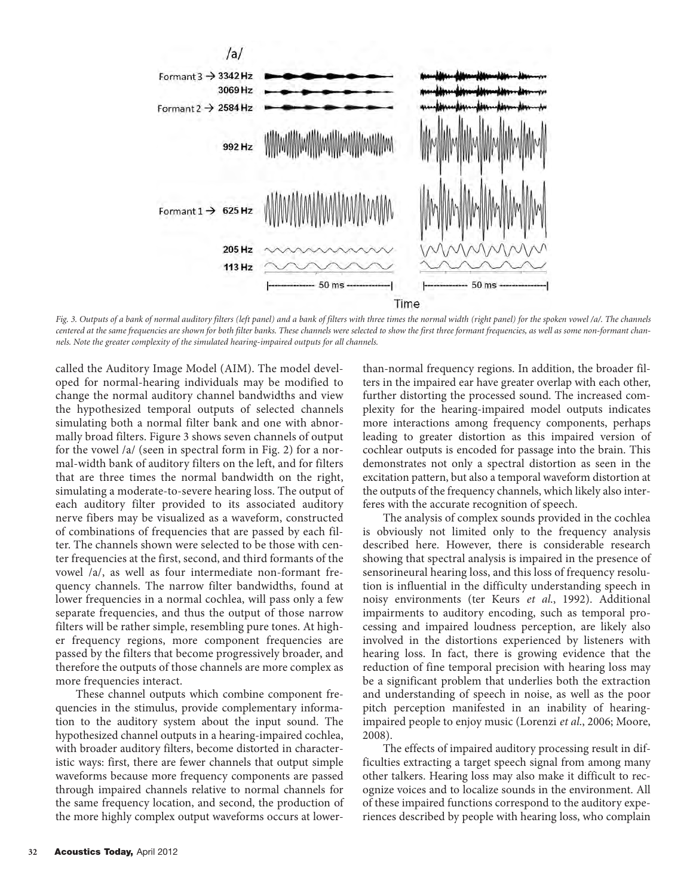

*Fig. 3. Outputs of a bank of normal auditory filters (left panel) and a bank of filters with three times the normal width (right panel) for the spoken vowel /a/. The channels centered at the same frequencies are shown for both filter banks. These channels were selected to show the first three formant frequencies, as well as some non-formant channels. Note the greater complexity of the simulated hearing-impaired outputs for all channels.*

called the Auditory Image Model (AIM). The model developed for normal-hearing individuals may be modified to change the normal auditory channel bandwidths and view the hypothesized temporal outputs of selected channels simulating both a normal filter bank and one with abnormally broad filters. Figure 3 shows seven channels of output for the vowel /a/ (seen in spectral form in Fig. 2) for a normal-width bank of auditory filters on the left, and for filters that are three times the normal bandwidth on the right, simulating a moderate-to-severe hearing loss. The output of each auditory filter provided to its associated auditory nerve fibers may be visualized as a waveform, constructed of combinations of frequencies that are passed by each filter. The channels shown were selected to be those with center frequencies at the first, second, and third formants of the vowel /a/, as well as four intermediate non-formant frequency channels. The narrow filter bandwidths, found at lower frequencies in a normal cochlea, will pass only a few separate frequencies, and thus the output of those narrow filters will be rather simple, resembling pure tones. At higher frequency regions, more component frequencies are passed by the filters that become progressively broader, and therefore the outputs of those channels are more complex as more frequencies interact.

These channel outputs which combine component frequencies in the stimulus, provide complementary information to the auditory system about the input sound. The hypothesized channel outputs in a hearing-impaired cochlea, with broader auditory filters, become distorted in characteristic ways: first, there are fewer channels that output simple waveforms because more frequency components are passed through impaired channels relative to normal channels for the same frequency location, and second, the production of the more highly complex output waveforms occurs at lowerthan-normal frequency regions. In addition, the broader filters in the impaired ear have greater overlap with each other, further distorting the processed sound. The increased complexity for the hearing-impaired model outputs indicates more interactions among frequency components, perhaps leading to greater distortion as this impaired version of cochlear outputs is encoded for passage into the brain. This demonstrates not only a spectral distortion as seen in the excitation pattern, but also a temporal waveform distortion at the outputs of the frequency channels, which likely also interferes with the accurate recognition of speech.

The analysis of complex sounds provided in the cochlea is obviously not limited only to the frequency analysis described here. However, there is considerable research showing that spectral analysis is impaired in the presence of sensorineural hearing loss, and this loss of frequency resolution is influential in the difficulty understanding speech in noisy environments (ter Keurs *et al.*, 1992). Additional impairments to auditory encoding, such as temporal processing and impaired loudness perception, are likely also involved in the distortions experienced by listeners with hearing loss. In fact, there is growing evidence that the reduction of fine temporal precision with hearing loss may be a significant problem that underlies both the extraction and understanding of speech in noise, as well as the poor pitch perception manifested in an inability of hearingimpaired people to enjoy music (Lorenzi *et al.*, 2006; Moore, 2008).

The effects of impaired auditory processing result in difficulties extracting a target speech signal from among many other talkers. Hearing loss may also make it difficult to recognize voices and to localize sounds in the environment. All of these impaired functions correspond to the auditory experiences described by people with hearing loss, who complain